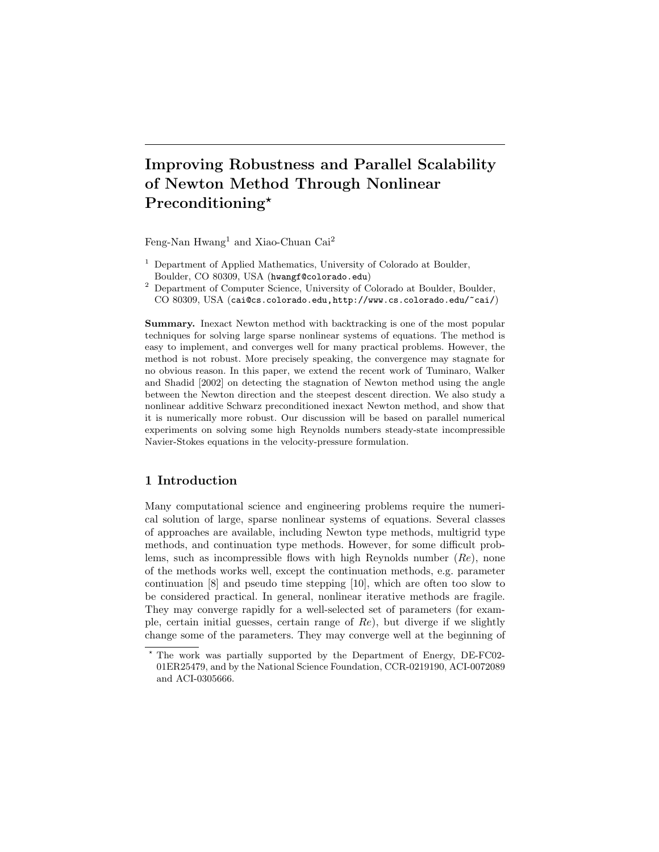# Improving Robustness and Parallel Scalability of Newton Method Through Nonlinear Preconditioning\*

Feng-Nan Hwang<sup>1</sup> and Xiao-Chuan Cai<sup>2</sup>

- $<sup>1</sup>$  Department of Applied Mathematics, University of Colorado at Boulder,</sup> Boulder, CO 80309, USA (hwangf@colorado.edu)
- <sup>2</sup> Department of Computer Science, University of Colorado at Boulder, Boulder, CO 80309, USA (cai@cs.colorado.edu,http://www.cs.colorado.edu/~cai/)

Summary. Inexact Newton method with backtracking is one of the most popular techniques for solving large sparse nonlinear systems of equations. The method is easy to implement, and converges well for many practical problems. However, the method is not robust. More precisely speaking, the convergence may stagnate for no obvious reason. In this paper, we extend the recent work of Tuminaro, Walker and Shadid [2002] on detecting the stagnation of Newton method using the angle between the Newton direction and the steepest descent direction. We also study a nonlinear additive Schwarz preconditioned inexact Newton method, and show that it is numerically more robust. Our discussion will be based on parallel numerical experiments on solving some high Reynolds numbers steady-state incompressible Navier-Stokes equations in the velocity-pressure formulation.

# 1 Introduction

Many computational science and engineering problems require the numerical solution of large, sparse nonlinear systems of equations. Several classes of approaches are available, including Newton type methods, multigrid type methods, and continuation type methods. However, for some difficult problems, such as incompressible flows with high Reynolds number  $(Re)$ , none of the methods works well, except the continuation methods, e.g. parameter continuation [8] and pseudo time stepping [10], which are often too slow to be considered practical. In general, nonlinear iterative methods are fragile. They may converge rapidly for a well-selected set of parameters (for example, certain initial guesses, certain range of  $Re$ ), but diverge if we slightly change some of the parameters. They may converge well at the beginning of

<sup>?</sup> The work was partially supported by the Department of Energy, DE-FC02- 01ER25479, and by the National Science Foundation, CCR-0219190, ACI-0072089 and ACI-0305666.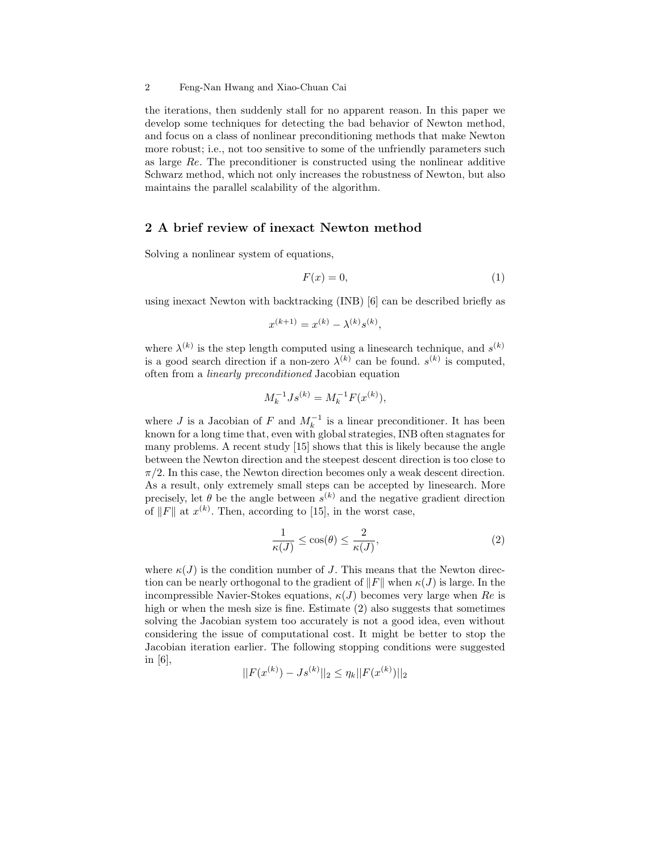the iterations, then suddenly stall for no apparent reason. In this paper we develop some techniques for detecting the bad behavior of Newton method, and focus on a class of nonlinear preconditioning methods that make Newton more robust; i.e., not too sensitive to some of the unfriendly parameters such as large Re. The preconditioner is constructed using the nonlinear additive Schwarz method, which not only increases the robustness of Newton, but also maintains the parallel scalability of the algorithm.

### 2 A brief review of inexact Newton method

Solving a nonlinear system of equations,

$$
F(x) = 0,\t\t(1)
$$

using inexact Newton with backtracking (INB) [6] can be described briefly as

$$
x^{(k+1)} = x^{(k)} - \lambda^{(k)} s^{(k)},
$$

where  $\lambda^{(k)}$  is the step length computed using a linesearch technique, and  $s^{(k)}$ is a good search direction if a non-zero  $\lambda^{(k)}$  can be found.  $s^{(k)}$  is computed, often from a linearly preconditioned Jacobian equation

$$
M_k^{-1}Js^{(k)} = M_k^{-1}F(x^{(k)}),
$$

where J is a Jacobian of F and  $M_k^{-1}$  is a linear preconditioner. It has been known for a long time that, even with global strategies, INB often stagnates for many problems. A recent study [15] shows that this is likely because the angle between the Newton direction and the steepest descent direction is too close to  $\pi/2$ . In this case, the Newton direction becomes only a weak descent direction. As a result, only extremely small steps can be accepted by linesearch. More precisely, let  $\theta$  be the angle between  $s^{(k)}$  and the negative gradient direction of ||F|| at  $x^{(k)}$ . Then, according to [15], in the worst case,

$$
\frac{1}{\kappa(J)} \le \cos(\theta) \le \frac{2}{\kappa(J)},\tag{2}
$$

where  $\kappa(J)$  is the condition number of J. This means that the Newton direction can be nearly orthogonal to the gradient of  $||F||$  when  $\kappa(J)$  is large. In the incompressible Navier-Stokes equations,  $\kappa(J)$  becomes very large when Re is high or when the mesh size is fine. Estimate (2) also suggests that sometimes solving the Jacobian system too accurately is not a good idea, even without considering the issue of computational cost. It might be better to stop the Jacobian iteration earlier. The following stopping conditions were suggested in [6],

$$
||F(x^{(k)}) - Js^{(k)}||_2 \le \eta_k ||F(x^{(k)})||_2
$$

<sup>2</sup> Feng-Nan Hwang and Xiao-Chuan Cai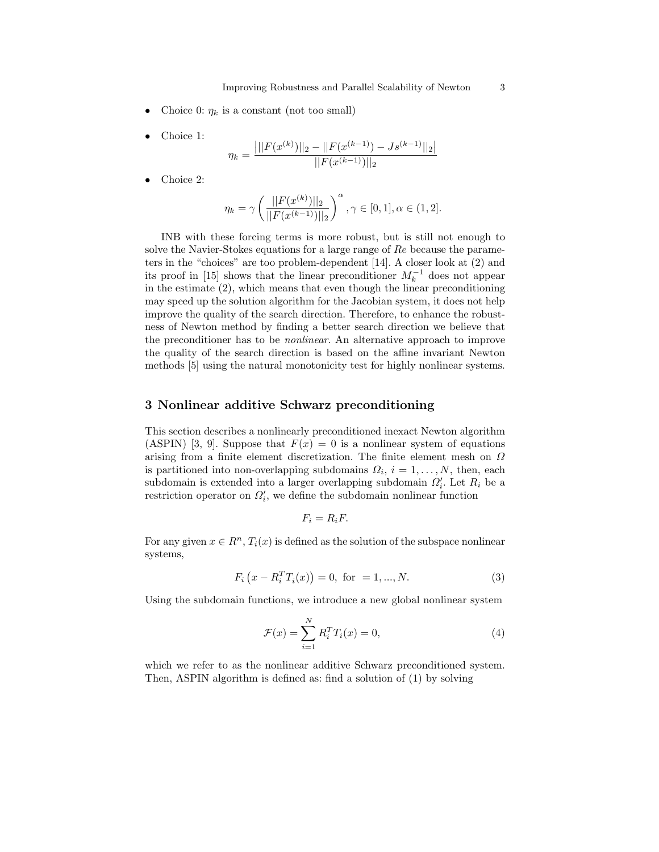- Choice 0:  $\eta_k$  is a constant (not too small)
- Choice 1:

$$
\eta_k = \frac{\left| ||F(x^{(k)})||_2 - ||F(x^{(k-1)}) - Js^{(k-1)}||_2 \right|}{||F(x^{(k-1)})||_2}
$$

Choice 2:

$$
\eta_k = \gamma \left( \frac{||F(x^{(k)})||_2}{||F(x^{(k-1)})||_2} \right)^{\alpha}, \gamma \in [0, 1], \alpha \in (1, 2].
$$

INB with these forcing terms is more robust, but is still not enough to solve the Navier-Stokes equations for a large range of Re because the parameters in the "choices" are too problem-dependent [14]. A closer look at (2) and its proof in [15] shows that the linear preconditioner  $M_k^{-1}$  does not appear in the estimate (2), which means that even though the linear preconditioning may speed up the solution algorithm for the Jacobian system, it does not help improve the quality of the search direction. Therefore, to enhance the robustness of Newton method by finding a better search direction we believe that the preconditioner has to be nonlinear. An alternative approach to improve the quality of the search direction is based on the affine invariant Newton methods [5] using the natural monotonicity test for highly nonlinear systems.

## 3 Nonlinear additive Schwarz preconditioning

This section describes a nonlinearly preconditioned inexact Newton algorithm (ASPIN) [3, 9]. Suppose that  $F(x) = 0$  is a nonlinear system of equations arising from a finite element discretization. The finite element mesh on  $\Omega$ is partitioned into non-overlapping subdomains  $\Omega_i$ ,  $i = 1, ..., N$ , then, each subdomain is extended into a larger overlapping subdomain  $\Omega_i'$ . Let  $R_i$  be a restriction operator on  $\Omega_i'$ , we define the subdomain nonlinear function

$$
F_i = R_i F.
$$

For any given  $x \in R^n$ ,  $T_i(x)$  is defined as the solution of the subspace nonlinear systems,

$$
F_i(x - R_i^T T_i(x)) = 0, \text{ for } = 1, ..., N.
$$
 (3)

Using the subdomain functions, we introduce a new global nonlinear system

$$
\mathcal{F}(x) = \sum_{i=1}^{N} R_i^T T_i(x) = 0,
$$
\n(4)

which we refer to as the nonlinear additive Schwarz preconditioned system. Then, ASPIN algorithm is defined as: find a solution of (1) by solving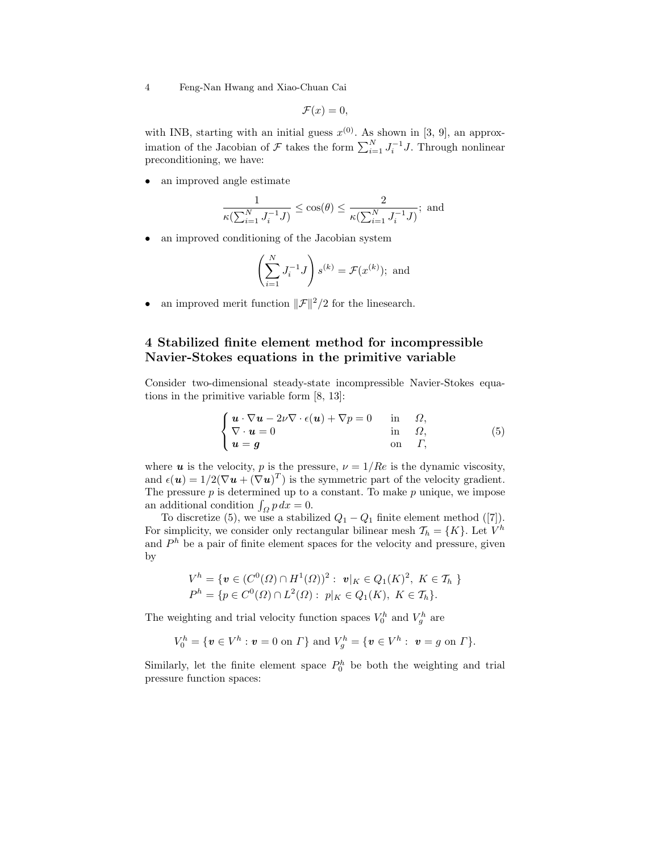4 Feng-Nan Hwang and Xiao-Chuan Cai

$$
\mathcal{F}(x)=0,
$$

with INB, starting with an initial guess  $x^{(0)}$ . As shown in [3, 9], an approximation of the Jacobian of  $\mathcal F$  takes the form  $\sum_{i=1}^{N} J_i^{-1} J$ . Through nonlinear preconditioning, we have:

• an improved angle estimate

$$
\frac{1}{\kappa(\sum_{i=1}^N J_i^{-1}J)} \leq \cos(\theta) \leq \frac{2}{\kappa(\sum_{i=1}^N J_i^{-1}J)}; \text{ and }
$$

an improved conditioning of the Jacobian system

$$
\left(\sum_{i=1}^{N} J_i^{-1} J\right) s^{(k)} = \mathcal{F}(x^{(k)}); \text{ and}
$$

an improved merit function  $\|\mathcal{F}\|^2/2$  for the linesearch.

# 4 Stabilized finite element method for incompressible Navier-Stokes equations in the primitive variable

Consider two-dimensional steady-state incompressible Navier-Stokes equations in the primitive variable form [8, 13]:

$$
\begin{cases}\n\mathbf{u} \cdot \nabla \mathbf{u} - 2\nu \nabla \cdot \epsilon(\mathbf{u}) + \nabla p = 0 & \text{in } \Omega, \\
\nabla \cdot \mathbf{u} = 0 & \text{in } \Omega, \\
\mathbf{u} = \mathbf{g} & \text{on } \Gamma,\n\end{cases}
$$
\n(5)

where **u** is the velocity, p is the pressure,  $\nu = 1/Re$  is the dynamic viscosity, and  $\epsilon(\mathbf{u}) = 1/2(\nabla \mathbf{u} + (\nabla \mathbf{u})^T)$  is the symmetric part of the velocity gradient. The pressure  $p$  is determined up to a constant. To make  $p$  unique, we impose The pressure p is determined up to a<br>an additional condition  $\int_{\Omega} p \, dx = 0$ .

To discretize (5), we use a stabilized  $Q_1 - Q_1$  finite element method ([7]). For simplicity, we consider only rectangular bilinear mesh  $\mathcal{T}_h = \{K\}$ . Let  $V^h$ and  $P<sup>h</sup>$  be a pair of finite element spaces for the velocity and pressure, given by

$$
V^h = \{ \mathbf{v} \in (C^0(\Omega) \cap H^1(\Omega))^2 : \mathbf{v}|_K \in Q_1(K)^2, \ K \in \mathcal{T}_h \}
$$
  

$$
P^h = \{ p \in C^0(\Omega) \cap L^2(\Omega) : \ p|_K \in Q_1(K), \ K \in \mathcal{T}_h \}.
$$

The weighting and trial velocity function spaces  $V_0^h$  and  $V_g^h$  are

$$
V_0^h = \{ \mathbf{v} \in V^h : \mathbf{v} = 0 \text{ on } \Gamma \} \text{ and } V_g^h = \{ \mathbf{v} \in V^h : \mathbf{v} = g \text{ on } \Gamma \}.
$$

Similarly, let the finite element space  $P_0^h$  be both the weighting and trial pressure function spaces: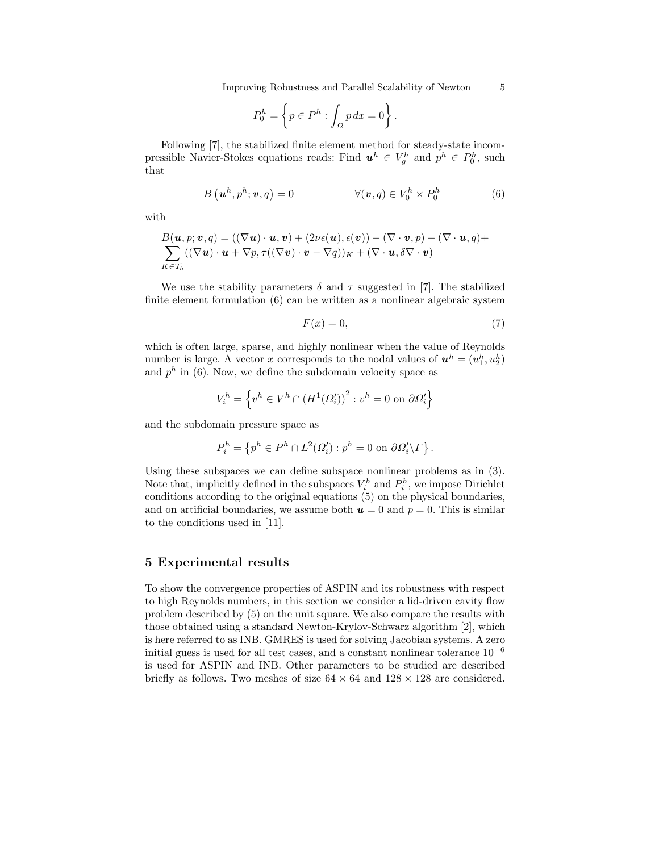Improving Robustness and Parallel Scalability of Newton 5

$$
P_0^h = \left\{ p \in P^h : \int_{\Omega} p \, dx = 0 \right\}.
$$

Following [7], the stabilized finite element method for steady-state incompressible Navier-Stokes equations reads: Find  $u^h \in V_g^h$  and  $p^h \in P_0^h$ , such that

$$
B\left(\mathbf{u}^{h}, p^{h}; \mathbf{v}, q\right) = 0 \qquad \qquad \forall (\mathbf{v}, q) \in V_0^h \times P_0^h \qquad (6)
$$

with

$$
B(\mathbf{u},p;\mathbf{v},q) = ((\nabla \mathbf{u}) \cdot \mathbf{u}, \mathbf{v}) + (2\nu\epsilon(\mathbf{u}), \epsilon(\mathbf{v})) - (\nabla \cdot \mathbf{v}, p) - (\nabla \cdot \mathbf{u}, q) + \sum_{K \in \mathcal{T}_h} ((\nabla \mathbf{u}) \cdot \mathbf{u} + \nabla p, \tau((\nabla \mathbf{v}) \cdot \mathbf{v} - \nabla q))_K + (\nabla \cdot \mathbf{u}, \delta \nabla \cdot \mathbf{v})
$$

We use the stability parameters  $\delta$  and  $\tau$  suggested in [7]. The stabilized finite element formulation (6) can be written as a nonlinear algebraic system

$$
F(x) = 0,\t\t(7)
$$

which is often large, sparse, and highly nonlinear when the value of Reynolds number is large. A vector x corresponds to the nodal values of  $u^h = (u_1^h, u_2^h)$ and  $p^h$  in (6). Now, we define the subdomain velocity space as

$$
V_i^h = \left\{ v^h \in V^h \cap \left( H^1(\varOmega_i') \right)^2 : v^h = 0 \text{ on } \partial \varOmega_i' \right\}
$$

and the subdomain pressure space as

$$
P_i^h = \left\{ p^h \in P^h \cap L^2(\Omega_i') : p^h = 0 \text{ on } \partial \Omega_i' \backslash \Gamma \right\}.
$$

Using these subspaces we can define subspace nonlinear problems as in (3). Note that, implicitly defined in the subspaces  $V_i^h$  and  $P_i^h$ , we impose Dirichlet conditions according to the original equations (5) on the physical boundaries, and on artificial boundaries, we assume both  $u = 0$  and  $p = 0$ . This is similar to the conditions used in [11].

## 5 Experimental results

To show the convergence properties of ASPIN and its robustness with respect to high Reynolds numbers, in this section we consider a lid-driven cavity flow problem described by (5) on the unit square. We also compare the results with those obtained using a standard Newton-Krylov-Schwarz algorithm [2], which is here referred to as INB. GMRES is used for solving Jacobian systems. A zero initial guess is used for all test cases, and a constant nonlinear tolerance  $10^{-6}$ is used for ASPIN and INB. Other parameters to be studied are described briefly as follows. Two meshes of size  $64 \times 64$  and  $128 \times 128$  are considered.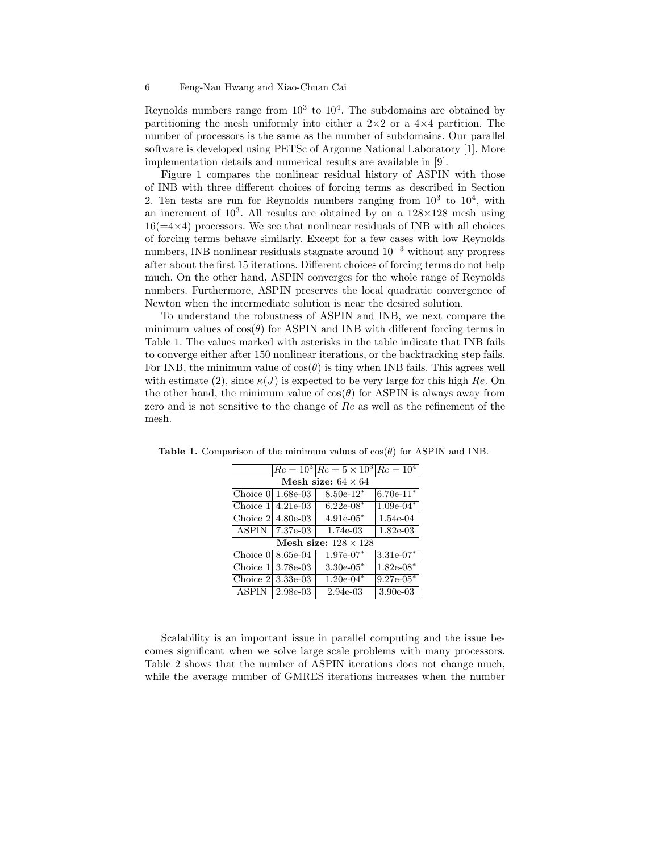#### 6 Feng-Nan Hwang and Xiao-Chuan Cai

Reynolds numbers range from  $10^3$  to  $10^4$ . The subdomains are obtained by partitioning the mesh uniformly into either a  $2\times 2$  or a  $4\times 4$  partition. The number of processors is the same as the number of subdomains. Our parallel software is developed using PETSc of Argonne National Laboratory [1]. More implementation details and numerical results are available in [9].

Figure 1 compares the nonlinear residual history of ASPIN with those of INB with three different choices of forcing terms as described in Section 2. Ten tests are run for Reynolds numbers ranging from  $10^3$  to  $10^4$ , with an increment of  $10^3$ . All results are obtained by on a  $128\times128$  mesh using  $16(=4\times4)$  processors. We see that nonlinear residuals of INB with all choices of forcing terms behave similarly. Except for a few cases with low Reynolds numbers, INB nonlinear residuals stagnate around  $10^{-3}$  without any progress after about the first 15 iterations. Different choices of forcing terms do not help much. On the other hand, ASPIN converges for the whole range of Reynolds numbers. Furthermore, ASPIN preserves the local quadratic convergence of Newton when the intermediate solution is near the desired solution.

To understand the robustness of ASPIN and INB, we next compare the minimum values of  $cos(\theta)$  for ASPIN and INB with different forcing terms in Table 1. The values marked with asterisks in the table indicate that INB fails to converge either after 150 nonlinear iterations, or the backtracking step fails. For INB, the minimum value of  $cos(\theta)$  is tiny when INB fails. This agrees well with estimate (2), since  $\kappa(J)$  is expected to be very large for this high Re. On the other hand, the minimum value of  $cos(\theta)$  for ASPIN is always away from zero and is not sensitive to the change of Re as well as the refinement of the mesh.

|                             |                     | $Re = 10^3$ $Re = 5 \times 10^3$ $Re = 10^4$ |             |  |
|-----------------------------|---------------------|----------------------------------------------|-------------|--|
| Mesh size: $64 \times 64$   |                     |                                              |             |  |
| Choice 0                    | 1.68e-03            | $8.50e-12*$                                  | $6.70e-11*$ |  |
| Choice 1                    | $4.21e-03$          | $6.22e-08*$                                  | $1.09e-04*$ |  |
| Choice 2                    | $4.80e-03$          | $4.91e-05*$                                  | 1.54e-04    |  |
| <b>ASPIN</b>                | 7.37e-03            | 1.74e-03                                     | $1.82e-03$  |  |
| Mesh size: $128 \times 128$ |                     |                                              |             |  |
|                             | Choice $0 8.65e-04$ | $1.97e-07*$                                  | $3.31e-07*$ |  |
| Choice 1                    | 3.78e-03            | $3.30e-05*$                                  | $1.82e-08*$ |  |
| Choice 2                    | $3.33e-03$          | $1.20e-04*$                                  | $9.27e-05*$ |  |
| <b>ASPIN</b>                | 2.98e-03            | 2.94e-03                                     | $3.90e-03$  |  |

Table 1. Comparison of the minimum values of  $cos(\theta)$  for ASPIN and INB.

Scalability is an important issue in parallel computing and the issue becomes significant when we solve large scale problems with many processors. Table 2 shows that the number of ASPIN iterations does not change much, while the average number of GMRES iterations increases when the number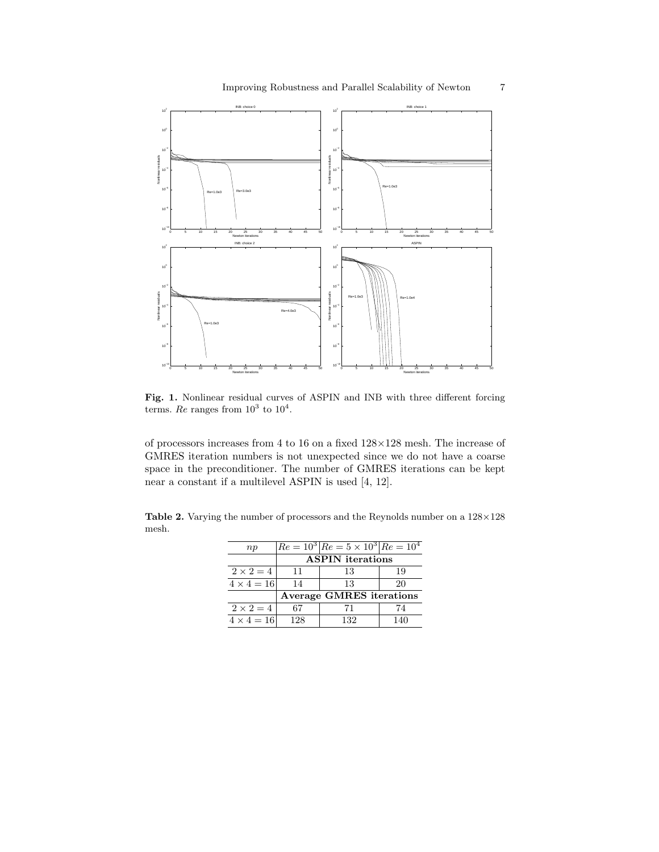

Fig. 1. Nonlinear residual curves of ASPIN and INB with three different forcing terms. Re ranges from  $10^3$  to  $10^4$ .

of processors increases from 4 to 16 on a fixed  $128{\times}128$  mesh. The increase of GMRES iteration numbers is not unexpected since we do not have a coarse space in the preconditioner. The number of GMRES iterations can be kept near a constant if a multilevel ASPIN is used [4, 12].

Table 2. Varying the number of processors and the Reynolds number on a  $128\times128$ mesh.

| np                |                                 | $Re = 10^3$ $Re = 5 \times 10^3$ $Re = 10^4$ |     |  |
|-------------------|---------------------------------|----------------------------------------------|-----|--|
|                   | <b>ASPIN</b> iterations         |                                              |     |  |
| $2 \times 2 = 4$  | 11                              | 13                                           | 19  |  |
| $4 \times 4 = 16$ | 14                              | 13                                           | 20  |  |
|                   | <b>Average GMRES</b> iterations |                                              |     |  |
| $2 \times 2 = 4$  | 67                              | 71                                           | 74  |  |
| $4 \times 4 = 16$ | 128                             | 132                                          | 140 |  |